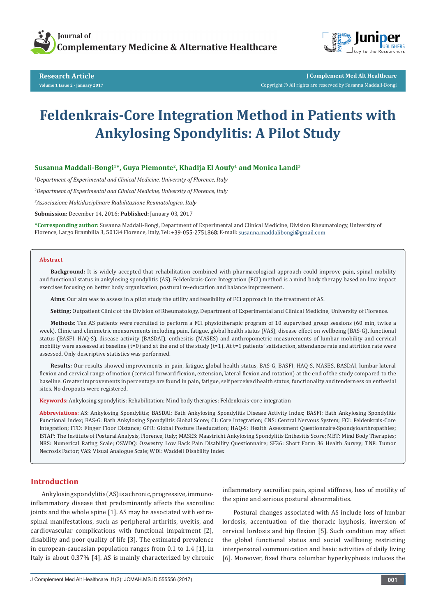

**Research Article Volume 1 Issue 2 - January 2017**



**J Complement Med Alt Healthcare** Copyright © All rights are reserved by Susanna Maddali-Bongi

# **Feldenkrais-Core Integration Method in Patients with Ankylosing Spondylitis: A Pilot Study**

# **Susanna Maddali-Bongi1\*, Guya Piemonte2, Khadija El Aoufy1 and Monica Landi3**

*1 Department of Experimental and Clinical Medicine, University of Florence, Italy*

*2 Department of Experimental and Clinical Medicine, University of Florence, Italy*

*3 Associazione Multidisciplinare Riabilitazione Reumatologica, Italy*

**Submission:** December 14, 2016; **Published:** January 03, 2017

**\*Corresponding author:** Susanna Maddali-Bongi, Department of Experimental and Clinical Medicine, Division Rheumatology, University of Florence, Largo Brambilla 3, 50134 Florence, Italy, Tel: +39-055-2751868; E-mail: susanna.maddalibongi@gmail.com

#### **Abstract**

**Background:** It is widely accepted that rehabilitation combined with pharmacological approach could improve pain, spinal mobility and functional status in ankylosing spondylitis (AS). Feldenkrais-Core Integration (FCI) method is a mind body therapy based on low impact exercises focusing on better body organization, postural re-education and balance improvement.

**Aims:** Our aim was to assess in a pilot study the utility and feasibility of FCI approach in the treatment of AS.

**Setting:** Outpatient Clinic of the Division of Rheumatology, Department of Experimental and Clinical Medicine, University of Florence.

**Methods:** Ten AS patients were recruited to perform a FCI physiotherapic program of 10 supervised group sessions (60 min, twice a week). Clinic and clinimetric measurements including pain, fatigue, global health status (VAS), disease effect on wellbeing (BAS-G), functional status (BASFI, HAQ-S), disease activity (BASDAI), enthesitis (MASES) and anthropometric measurements of lumbar mobility and cervical mobility were assessed at baseline (t=0) and at the end of the study (t=1). At t=1 patients' satisfaction, attendance rate and attrition rate were assessed. Only descriptive statistics was performed.

**Results:** Our results showed improvements in pain, fatigue, global health status, BAS-G, BASFI, HAQ-S, MASES, BASDAI, lumbar lateral flexion and cervical range of motion (cervical forward flexion, extension, lateral flexion and rotation) at the end of the study compared to the baseline. Greater improvements in percentage are found in pain, fatigue, self perceived health status, functionality and tenderness on enthesial sites. No dropouts were registered.

**Keywords:** Ankylosing spondylitis; Rehabilitation; Mind body therapies; Feldenkrais-core integration

**Abbreviations:** AS: Ankylosing Spondylitis; BASDAI: Bath Ankylosing Spondylitis Disease Activity Index; BASFI: Bath Ankylosing Spondylitis Functional Index; BAS-G: Bath Ankylosing Spondylitis Global Score; CI: Core Integration; CNS: Central Nervous System; FCI: Feldenkrais-Core Integration; FFD: Finger Floor Distance; GPR: Global Posture Reeducation; HAQ-S: Health Assessment Questionnaire-Spondyloarthropathies; ISTAP: The Institute of Postural Analysis, Florence, Italy; MASES: Maastricht Ankylosing Spondylitis Enthesitis Score; MBT: Mind Body Therapies; NRS: Numerical Rating Scale; OSWDQ: Oswestry Low Back Pain Disability Questionnaire; SF36: Short Form 36 Health Survey; TNF: Tumor Necrosis Factor; VAS: Visual Analogue Scale; WDI: Waddell Disability Index

## **Introduction**

Ankylosing spondylitis (AS) is a chronic, progressive, immunoinflammatory disease that predominantly affects the sacroiliac joints and the whole spine [1]. AS may be associated with extraspinal manifestations, such as peripheral arthritis, uveitis, and cardiovascular complications with functional impairment [2], disability and poor quality of life [3]. The estimated prevalence in european-caucasian population ranges from 0.1 to 1.4 [1], in Italy is about 0.37% [4]. AS is mainly characterized by chronic inflammatory sacroiliac pain, spinal stiffness, loss of motility of the spine and serious postural abnormalities.

Postural changes associated with AS include loss of lumbar lordosis, accentuation of the thoracic kyphosis, inversion of cervical lordosis and hip flexion [5]. Such condition may affect the global functional status and social wellbeing restricting interpersonal communication and basic activities of daily living [6]. Moreover, fixed thora columbar hyperkyphosis induces the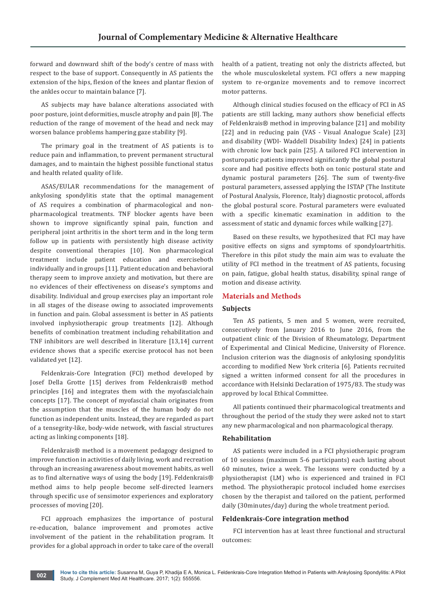forward and downward shift of the body's centre of mass with respect to the base of support. Consequently in AS patients the extension of the hips, flexion of the knees and plantar flexion of the ankles occur to maintain balance [7].

AS subjects may have balance alterations associated with poor posture, joint deformities, muscle atrophy and pain [8]. The reduction of the range of movement of the head and neck may worsen balance problems hampering gaze stability [9].

The primary goal in the treatment of AS patients is to reduce pain and inflammation, to prevent permanent structural damages, and to maintain the highest possible functional status and health related quality of life.

ASAS/EULAR recommendations for the management of ankylosing spondylitis state that the optimal management of AS requires a combination of pharmacological and nonpharmacological treatments. TNF blocker agents have been shown to improve significantly spinal pain, function and peripheral joint arthritis in the short term and in the long term follow up in patients with persistently high disease activity despite conventional therapies [10]. Non pharmacological treatment include patient education and exerciseboth individually and in groups [11]. Patient education and behavioral therapy seem to improve anxiety and motivation, but there are no evidences of their effectiveness on disease's symptoms and disability. Individual and group exercises play an important role in all stages of the disease owing to associated improvements in function and pain. Global assessment is better in AS patients involved inphysiotherapic group treatments [12]. Although benefits of combination treatment including rehabilitation and TNF inhibitors are well described in literature [13,14] current evidence shows that a specific exercise protocol has not been validated yet [12].

Feldenkrais-Core Integration (FCI) method developed by Josef Della Grotte [15] derives from Feldenkrais® method principles [16] and integrates them with the myofascialchain concepts [17]. The concept of myofascial chain originates from the assumption that the muscles of the human body do not function as independent units. Instead, they are regarded as part of a tensegrity-like, body-wide network, with fascial structures acting as linking components [18].

Feldenkrais® method is a movement pedagogy designed to improve function in activities of daily living, work and recreation through an increasing awareness about movement habits, as well as to find alternative ways of using the body [19]. Feldenkrais® method aims to help people become self-directed learners through specific use of sensimotor experiences and exploratory processes of moving [20].

FCI approach emphasizes the importance of postural re-education, balance improvement and promotes active involvement of the patient in the rehabilitation program. It provides for a global approach in order to take care of the overall

health of a patient, treating not only the districts affected, but the whole musculoskeletal system. FCI offers a new mapping system to re-organize movements and to remove incorrect motor patterns.

Although clinical studies focused on the efficacy of FCI in AS patients are still lacking, many authors show beneficial effects of Feldenkrais® method in improving balance [21] and mobility [22] and in reducing pain (VAS - Visual Analogue Scale) [23] and disability (WDI- Waddell Disability Index) [24] in patients with chronic low back pain [25]. A tailored FCI intervention in posturopatic patients improved significantly the global postural score and had positive effects both on tonic postural state and dynamic postural parameters [26]. The sum of twenty-five postural parameters, assessed applying the ISTAP (The Institute of Postural Analysis, Florence, Italy) diagnostic protocol, affords the global postural score. Postural parameters were evaluated with a specific kinematic examination in addition to the assessment of static and dynamic forces while walking [27].

Based on these results, we hypothesized that FCI may have positive effects on signs and symptoms of spondyloartrhitis. Therefore in this pilot study the main aim was to evaluate the utility of FCI method in the treatment of AS patients, focusing on pain, fatigue, global health status, disability, spinal range of motion and disease activity.

## **Materials and Methods**

# **Subjects**

Ten AS patients, 5 men and 5 women, were recruited, consecutively from January 2016 to June 2016, from the outpatient clinic of the Division of Rheumatology, Department of Experimental and Clinical Medicine, University of Florence. Inclusion criterion was the diagnosis of ankylosing spondylitis according to modified New York criteria [6]. Patients recruited signed a written informed consent for all the procedures in accordance with Helsinki Declaration of 1975/83. The study was approved by local Ethical Committee.

All patients continued their pharmacological treatments and throughout the period of the study they were asked not to start any new pharmacological and non pharmacological therapy.

#### **Rehabilitation**

AS patients were included in a FCI physiotherapic program of 10 sessions (maximum 5-6 participants) each lasting about 60 minutes, twice a week. The lessons were conducted by a physiotherapist (LM) who is experienced and trained in FCI method. The physiotherapic protocol included home exercises chosen by the therapist and tailored on the patient, performed daily (30minutes/day) during the whole treatment period.

#### **Feldenkrais-Core integration method**

FCI intervention has at least three functional and structural outcomes: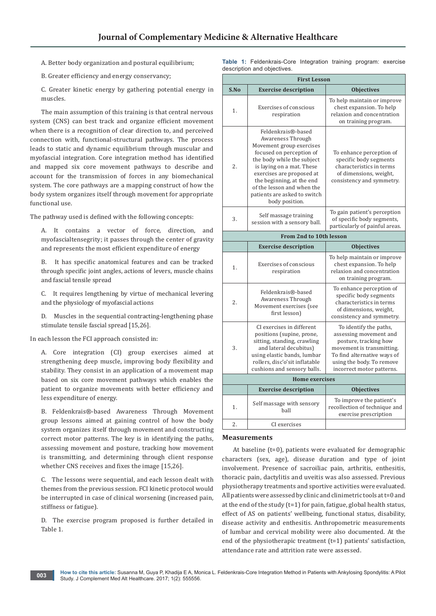A. Better body organization and postural equilibrium;

**Table 1:** Feldenkrais-Core Integration training program: exercise description and objectives.

B. Greater efficiency and energy conservancy;

C. Greater kinetic energy by gathering potential energy in muscles.

The main assumption of this training is that central nervous system (CNS) can best track and organize efficient movement when there is a recognition of clear direction to, and perceived connection with, functional-structural pathways. The process leads to static and dynamic equilibrium through muscular and myofascial integration. Core integration method has identified and mapped six core movement pathways to describe and account for the transmission of forces in any biomechanical system. The core pathways are a mapping construct of how the body system organizes itself through movement for appropriate functional use.

The pathway used is defined with the following concepts:

A. It contains a vector of force, direction, and myofascialtensegrity; it passes through the center of gravity and represents the most efficient expenditure of energy

B. It has specific anatomical features and can be tracked through specific joint angles, actions of levers, muscle chains and fascial tensile spread

C. It requires lengthening by virtue of mechanical levering and the physiology of myofascial actions

D. Muscles in the sequential contracting-lengthening phase stimulate tensile fascial spread [15,26].

In each lesson the FCI approach consisted in:

A. Core integration (CI) group exercises aimed at strengthening deep muscle, improving body flexibility and stability. They consist in an application of a movement map based on six core movement pathways which enables the patient to organize movements with better efficiency and less expenditure of energy.

B. Feldenkrais®-based Awareness Through Movement group lessons aimed at gaining control of how the body system organizes itself through movement and constructing correct motor patterns. The key is in identifying the paths, assessing movement and posture, tracking how movement is transmitting, and determining through client response whether CNS receives and fixes the image [15,26].

C. The lessons were sequential, and each lesson dealt with themes from the previous session. FCI kinetic protocol would be interrupted in case of clinical worsening (increased pain, stiffness or fatigue).

D. The exercise program proposed is further detailed in Table 1.

| <b>First Lesson</b> |                                                                                                                                                                                                                                                                                                      |                                                                                                                                                                                                 |  |  |  |  |
|---------------------|------------------------------------------------------------------------------------------------------------------------------------------------------------------------------------------------------------------------------------------------------------------------------------------------------|-------------------------------------------------------------------------------------------------------------------------------------------------------------------------------------------------|--|--|--|--|
| S.No                | <b>Exercise description</b>                                                                                                                                                                                                                                                                          | <b>Objectives</b>                                                                                                                                                                               |  |  |  |  |
| 1.                  | Exercises of conscious<br>respiration                                                                                                                                                                                                                                                                | To help maintain or improve<br>chest expansion. To help<br>relaxion and concentration<br>on training program.                                                                                   |  |  |  |  |
| 2.                  | Feldenkrais®-based<br>Awareness Through<br>Movement group exercises<br>focused on perception of<br>the body while the subject<br>is laying on a mat. These<br>exercises are proposed at<br>the beginning, at the end<br>of the lesson and when the<br>patients are asked to switch<br>body position. | To enhance perception of<br>specific body segments<br>characteristics in terms<br>of dimensions, weight,<br>consistency and symmetry.                                                           |  |  |  |  |
| 3.                  | Self massage training<br>session with a sensory ball.                                                                                                                                                                                                                                                | To gain patient's perception<br>of specific body segments,<br>particularly of painful areas.                                                                                                    |  |  |  |  |
|                     | From 2nd to 10th lesson                                                                                                                                                                                                                                                                              |                                                                                                                                                                                                 |  |  |  |  |
|                     | <b>Exercise description</b>                                                                                                                                                                                                                                                                          | <b>Objectives</b>                                                                                                                                                                               |  |  |  |  |
| 1.                  | Exercises of conscious<br>respiration                                                                                                                                                                                                                                                                | To help maintain or improve<br>chest expansion. To help<br>relaxion and concentration<br>on training program.                                                                                   |  |  |  |  |
| 2.                  | Feldenkrais®-based<br>Awareness Through<br>Movement exercises (see<br>first lesson)                                                                                                                                                                                                                  | To enhance perception of<br>specific body segments<br>characteristics in terms<br>of dimensions, weight,<br>consistency and symmetry.                                                           |  |  |  |  |
| 3.                  | CI exercises in different<br>positions (supine, prone,<br>sitting, standing, crawling<br>and lateral decubitus)<br>using elastic bands, lumbar<br>rollers, disc'o'sit inflatable<br>cushions and sensory balls.                                                                                      | To identify the paths,<br>assessing movement and<br>posture, tracking how<br>movement is transmitting.<br>To find alternative ways of<br>using the body. To remove<br>incorrect motor patterns. |  |  |  |  |
|                     | <b>Home exercises</b>                                                                                                                                                                                                                                                                                |                                                                                                                                                                                                 |  |  |  |  |
|                     | <b>Exercise description</b>                                                                                                                                                                                                                                                                          | <b>Objectives</b>                                                                                                                                                                               |  |  |  |  |
| 1.                  | Self massage with sensory<br>hall                                                                                                                                                                                                                                                                    | To improve the patient's<br>recollection of technique and<br>exercise prescription                                                                                                              |  |  |  |  |
| 2.                  | CI exercises                                                                                                                                                                                                                                                                                         |                                                                                                                                                                                                 |  |  |  |  |

# **Measurements**

At baseline (t=0), patients were evaluated for demographic characters (sex, age), disease duration and type of joint involvement. Presence of sacroiliac pain, arthritis, enthesitis, thoracic pain, dactylitis and uveitis was also assessed. Previous physiotherapy treatments and sportive activities were evaluated. All patients were assessed by clinic and clinimetric tools at t=0 and at the end of the study (t=1) for pain, fatigue, global health status, effect of AS on patients' wellbeing, functional status, disability, disease activity and enthesitis. Anthropometric measurements of lumbar and cervical mobility were also documented. At the end of the physiotherapic treatment (t=1) patients' satisfaction, attendance rate and attrition rate were assessed.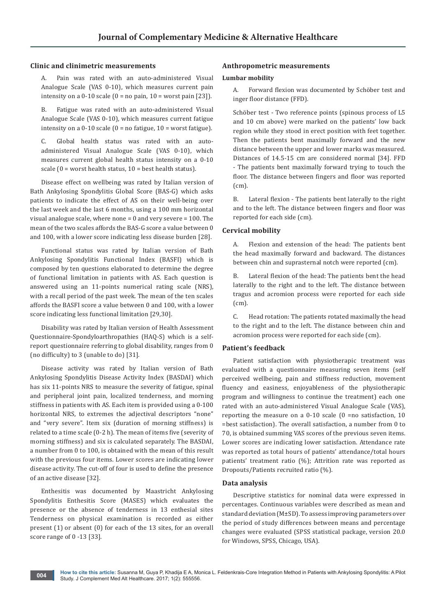## **Clinic and clinimetric measurements**

Pain was rated with an auto-administered Visual Analogue Scale (VAS 0-10), which measures current pain intensity on a  $0-10$  scale  $(0 = no \,\text{pain}, 10 = \text{worst} \,\text{pain} \,[23])$ .

B. Fatigue was rated with an auto-administered Visual Analogue Scale (VAS 0-10), which measures current fatigue intensity on a  $0-10$  scale  $(0 = no$  fatigue,  $10 =$  worst fatigue).

C. Global health status was rated with an autoadministered Visual Analogue Scale (VAS 0-10), which measures current global health status intensity on a 0-10 scale  $(0 =$  worst health status,  $10 =$  best health status).

Disease effect on wellbeing was rated by Italian version of Bath Ankylosing Spondylitis Global Score (BAS-G) which asks patients to indicate the effect of AS on their well-being over the last week and the last 6 months, using a 100 mm horizontal visual analogue scale, where none = 0 and very severe = 100. The mean of the two scales affords the BAS-G score a value between 0 and 100, with a lower score indicating less disease burden [28].

Functional status was rated by Italian version of Bath Ankylosing Spondylitis Functional Index (BASFI) which is composed by ten questions elaborated to determine the degree of functional limitation in patients with AS. Each question is answered using an 11-points numerical rating scale (NRS), with a recall period of the past week. The mean of the ten scales affords the BASFI score a value between 0 and 100, with a lower score indicating less functional limitation [29,30].

Disability was rated by Italian version of Health Assessment Questionnaire-Spondyloarthropathies (HAQ-S) which is a selfreport questionnaire referring to global disability, ranges from 0 (no difficulty) to 3 (unable to do) [31].

Disease activity was rated by Italian version of Bath Ankylosing Spondylitis Disease Activity Index (BASDAI) which has six 11-points NRS to measure the severity of fatigue, spinal and peripheral joint pain, localized tenderness, and morning stiffness in patients with AS. Each item is provided using a 0-100 horizontal NRS, to extremes the adjectival descriptors "none" and "very severe". Item six (duration of morning stiffness) is related to a time scale (0-2 h). The mean of items five (severity of morning stiffness) and six is calculated separately. The BASDAI, a number from 0 to 100, is obtained with the mean of this result with the previous four items. Lower scores are indicating lower disease activity. The cut-off of four is used to define the presence of an active disease [32].

Enthesitis was documented by Maastricht Ankylosing Spondylitis Enthesitis Score (MASES) which evaluates the presence or the absence of tenderness in 13 enthesial sites Tenderness on physical examination is recorded as either present (1) or absent (0) for each of the 13 sites, for an overall score range of 0 -13 [33].

## **Anthropometric measurements**

#### **Lumbar mobility**

A. Forward flexion was documented by Schöber test and inger floor distance (FFD).

Schöber test - Two reference points (spinous process of L5 and 10 cm above) were marked on the patients' low back region while they stood in erect position with feet together. Then the patients bent maximally forward and the new distance between the upper and lower marks was measured. Distances of 14.5-15 cm are considered normal [34]. FFD - The patients bent maximally forward trying to touch the floor. The distance between fingers and floor was reported (cm).

B. Lateral flexion - The patients bent laterally to the right and to the left. The distance between fingers and floor was reported for each side (cm).

### **Cervical mobility**

A. Flexion and extension of the head: The patients bent the head maximally forward and backward. The distances between chin and suprasternal notch were reported (cm).

B. Lateral flexion of the head: The patients bent the head laterally to the right and to the left. The distance between tragus and acromion process were reported for each side (cm).

C. Head rotation: The patients rotated maximally the head to the right and to the left. The distance between chin and acromion process were reported for each side (cm).

### **Patient's feedback**

Patient satisfaction with physiotherapic treatment was evaluated with a questionnaire measuring seven items (self perceived wellbeing, pain and stiffness reduction, movement fluency and easiness, enjoyableness of the physiotherapic program and willingness to continue the treatment) each one rated with an auto-administered Visual Analogue Scale (VAS), reporting the measure on a 0-10 scale (0 =no satisfaction, 10 =best satisfaction). The overall satisfaction, a number from 0 to 70, is obtained summing VAS scores of the previous seven items. Lower scores are indicating lower satisfaction. Attendance rate was reported as total hours of patients' attendance/total hours patients' treatment ratio (%); Attrition rate was reported as Dropouts/Patients recruited ratio (%).

### **Data analysis**

Descriptive statistics for nominal data were expressed in percentages. Continuous variables were described as mean and standard deviation (M±SD). To assess improving parameters over the period of study differences between means and percentage changes were evaluated (SPSS statistical package, version 20.0 for Windows, SPSS, Chicago, USA).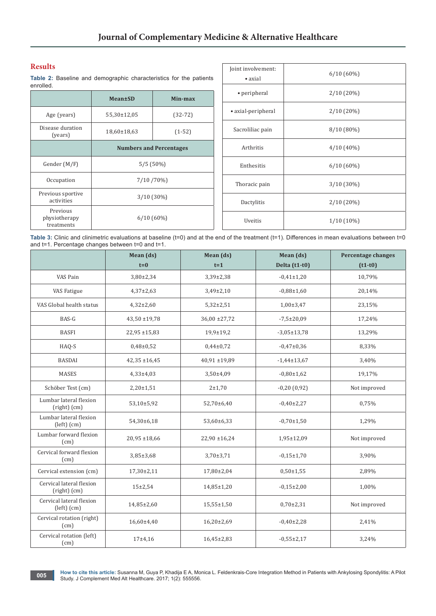# **Results**

**Table 2:** Baseline and demographic characteristics for the patients enrolled.

|                                         | Mean±SD                        | Min-max      |  |
|-----------------------------------------|--------------------------------|--------------|--|
| Age (years)                             | 55,30±12,05                    | $(32-72)$    |  |
| Disease duration<br>(years)             | 18,60±18,63                    | $(1-52)$     |  |
|                                         | <b>Numbers and Percentages</b> |              |  |
| Gender (M/F)                            | $5/5(50\%)$                    |              |  |
| Occupation                              | 7/10/70%)                      |              |  |
| Previous sportive<br>activities         |                                | $3/10(30\%)$ |  |
| Previous<br>physiotherapy<br>treatments | $6/10(60\%)$                   |              |  |

| Joint involvement:<br>$\bullet$ axial | $6/10(60\%)$ |  |  |
|---------------------------------------|--------------|--|--|
| • peripheral                          | $2/10(20\%)$ |  |  |
| • axial-peripheral                    | $2/10(20\%)$ |  |  |
| Sacroliliac pain                      | $8/10(80\%)$ |  |  |
| Arthritis                             | $4/10(40\%)$ |  |  |
| Enthesitis                            | $6/10(60\%)$ |  |  |
| Thoracic pain                         | $3/10(30\%)$ |  |  |
| Dactylitis                            | 2/10 (20%)   |  |  |
| Uveitis                               | $1/10(10\%)$ |  |  |

Table 3: Clinic and clinimetric evaluations at baseline (t=0) and at the end of the treatment (t=1). Differences in mean evaluations between t=0 and t=1. Percentage changes between t=0 and t=1.

|                                             | Mean (ds)<br>$t=0$ | Mean (ds)<br>$t = 1$ | Mean (ds)<br>Delta (t1-t0) | <b>Percentage changes</b><br>$(t1-t0)$ |
|---------------------------------------------|--------------------|----------------------|----------------------------|----------------------------------------|
| VAS Pain                                    | $3,80\pm2,34$      | $3,39\pm2,38$        | $-0,41\pm1,20$             | 10,79%                                 |
| VAS Fatigue                                 | $4,37\pm2,63$      | $3,49\pm2,10$        | $-0.88 \pm 1.60$           | 20,14%                                 |
| VAS Global health status                    | $4,32\pm2,60$      | $5,32\pm2,51$        | $1,00\pm 3,47$             | 23,15%                                 |
| BAS-G                                       | $43,50 \pm 19,78$  | $36,00 \pm 27,72$    | $-7,5 \pm 20,09$           | 17,24%                                 |
| <b>BASFI</b>                                | $22,95 \pm 15,83$  | $19,9 \pm 19,2$      | $-3,05 \pm 13,78$          | 13,29%                                 |
| HAQ-S                                       | $0,48\pm0,52$      | $0,44\pm0,72$        | $-0,47\pm0,36$             | 8,33%                                  |
| <b>BASDAI</b>                               | $42,35 \pm 16,45$  | $40,91 \pm 19,89$    | $-1,44\pm 13,67$           | 3,40%                                  |
| <b>MASES</b>                                | $4,33+4,03$        | 3,50±4,09            | $-0,80 \pm 1,62$           | 19,17%                                 |
| Schöber Test (cm)                           | $2,20 \pm 1,51$    | $2 + 1,70$           | $-0,20(0,92)$              | Not improved                           |
| Lumbar lateral flexion<br>(right) (cm)      | 53,10±5,92         | 52,70±6,40           | $-0,40\pm2,27$             | 0,75%                                  |
| Lumbar lateral flexion<br>$(left)$ $(cm)$   | 54,30±6,18         | 53,60±6,33           | $-0.70 \pm 1.50$           | 1,29%                                  |
| Lumbar forward flexion<br>(cm)              | $20,95 \pm 18,66$  | $22,90 \pm 16,24$    | 1,95±12,09                 | Not improved                           |
| Cervical forward flexion<br>(cm)            | $3,85 \pm 3,68$    | $3,70\pm3,71$        | $-0,15\pm1,70$             | 3,90%                                  |
| Cervical extension (cm)                     | $17,30\pm2,11$     | 17,80±2,04           | $0,50 \pm 1,55$            | 2,89%                                  |
| Cervical lateral flexion<br>(right) (cm)    | $15 + 2,54$        | $14,85 \pm 1,20$     | $-0,15\pm2,00$             | 1,00%                                  |
| Cervical lateral flexion<br>$(left)$ $(cm)$ | 14,85±2,60         | $15,55 \pm 1,50$     | $0,70\pm2,31$              | Not improved                           |
| Cervical rotation (right)<br>(cm)           | 16,60±4,40         | $16,20\pm2,69$       | $-0,40\pm2,28$             | 2,41%                                  |
| Cervical rotation (left)<br>(cm)            | $17 + 4,16$        | $16,45\pm2,83$       | $-0,55\pm2,17$             | 3,24%                                  |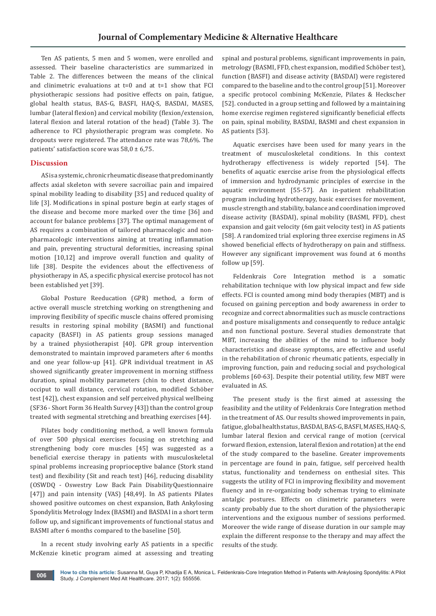Ten AS patients, 5 men and 5 women, were enrolled and assessed. Their baseline characteristics are summarized in Table 2. The differences between the means of the clinical and clinimetric evaluations at  $t=0$  and at  $t=1$  show that FCI physiotherapic sessions had positive effects on pain, fatigue, global health status, BAS-G, BASFI, HAQ-S, BASDAI, MASES, lumbar (lateral flexion) and cervical mobility (flexion/extension, lateral flexion and lateral rotation of the head) (Table 3). The adherence to FCI physiotherapic program was complete. No dropouts were registered. The attendance rate was 78,6%. The patients' satisfaction score was  $58.0 \pm 6.75$ .

# **Discussion**

AS is a systemic, chronic rheumatic disease that predominantly affects axial skeleton with severe sacroiliac pain and impaired spinal mobility leading to disability [35] and reduced quality of life [3]. Modifications in spinal posture begin at early stages of the disease and become more marked over the time [36] and account for balance problems [37]. The optimal management of AS requires a combination of tailored pharmacologic and nonpharmacologic interventions aiming at treating inflammation and pain, preventing structural deformities, increasing spinal motion [10,12] and improve overall function and quality of life [38]. Despite the evidences about the effectiveness of physiotherapy in AS, a specific physical exercise protocol has not been established yet [39].

Global Posture Reeducation (GPR) method, a form of active overall muscle stretching working on strengthening and improving flexibility of specific muscle chains offered promising results in restoring spinal mobility (BASMI) and functional capacity (BASFI) in AS patients group sessions managed by a trained physiotherapist [40]. GPR group intervention demonstrated to maintain improved parameters after 6 months and one year follow-up [41]. GPR individual treatment in AS showed significantly greater improvement in morning stiffness duration, spinal mobility parameters (chin to chest distance, occiput to wall distance, cervical rotation, modified Schöber test [42]), chest expansion and self perceived physical wellbeing (SF36 - Short Form 36 Health Survey [43]) than the control group treated with segmental stretching and breathing exercises [44].

Pilates body conditioning method, a well known formula of over 500 physical exercises focusing on stretching and strengthening body core muscles [45] was suggested as a beneficial exercise therapy in patients with musculoskeletal spinal problems increasing proprioceptive balance (Stork stand test) and flexibility (Sit and reach test) [46], reducing disability (OSWDQ - Oswestry Low Back Pain DisabilityQuestionnaire [47]) and pain intensity (VAS) [48,49]. In AS patients Pilates showed positive outcomes on chest expansion, Bath Ankylosing Spondylitis Metrology Index (BASMI) and BASDAI in a short term follow up, and significant improvements of functional status and BASMI after 6 months compared to the baseline [50].

In a recent study involving early AS patients in a specific McKenzie kinetic program aimed at assessing and treating spinal and postural problems, significant improvements in pain, metrology (BASMI, FFD, chest expansion, modified Schöber test), function (BASFI) and disease activity (BASDAI) were registered compared to the baseline and to the control group [51]. Moreover a specific protocol combining McKenzie, Pilates & Heckscher [52]. conducted in a group setting and followed by a maintaining home exercise regimen registered significantly beneficial effects on pain, spinal mobility, BASDAI, BASMI and chest expansion in AS patients [53].

Aquatic exercises have been used for many years in the treatment of musculoskeletal conditions. In this context hydrotherapy effectiveness is widely reported [54]. The benefits of aquatic exercise arise from the physiological effects of immersion and hydrodynamic principles of exercise in the aquatic environment [55-57]. An in-patient rehabilitation program including hydrotherapy, basic exercises for movement, muscle strength and stability, balance and coordination improved disease activity (BASDAI), spinal mobility (BASMI, FFD), chest expansion and gait velocity (6m gait velocity test) in AS patients [58]. A randomized trial exploring three exercise regimens in AS showed beneficial effects of hydrotherapy on pain and stiffness. However any significant improvement was found at 6 months follow up [59].

Feldenkrais Core Integration method is a somatic rehabilitation technique with low physical impact and few side effects. FCI is counted among mind body therapies (MBT) and is focused on gaining perception and body awareness in order to recognize and correct abnormalities such as muscle contractions and posture misalignments and consequently to reduce antalgic and non functional posture. Several studies demonstrate that MBT, increasing the abilities of the mind to influence body characteristics and disease symptoms, are effective and useful in the rehabilitation of chronic rheumatic patients, especially in improving function, pain and reducing social and psychological problems [60-63]. Despite their potential utility, few MBT were evaluated in AS.

The present study is the first aimed at assessing the feasibility and the utility of Feldenkrais Core Integration method in the treatment of AS. Our results showed improvements in pain, fatigue, global health status, BASDAI, BAS-G, BASFI, MASES, HAQ-S, lumbar lateral flexion and cervical range of motion (cervical forward flexion, extension, lateral flexion and rotation) at the end of the study compared to the baseline. Greater improvements in percentage are found in pain, fatigue, self perceived health status, functionality and tenderness on enthesial sites. This suggests the utility of FCI in improving flexibility and movement fluency and in re-organizing body schemas trying to eliminate antalgic postures. Effects on clinimetric parameters were scanty probably due to the short duration of the physiotherapic interventions and the exiguous number of sessions performed. Moreover the wide range of disease duration in our sample may explain the different response to the therapy and may affect the results of the study.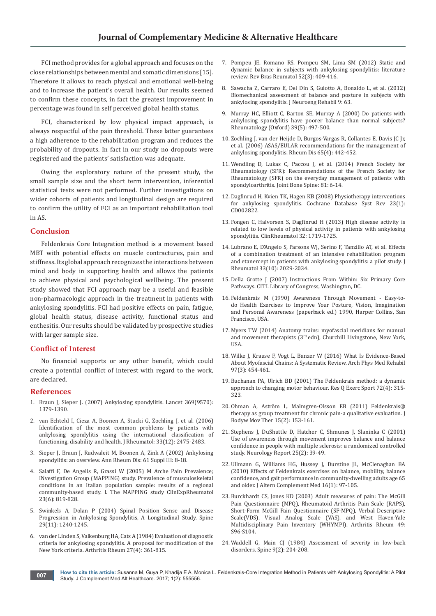FCI method provides for a global approach and focuses on the close relationships between mental and somatic dimensions [15]. Therefore it allows to reach physical and emotional well-being and to increase the patient's overall health. Our results seemed to confirm these concepts, in fact the greatest improvement in percentage was found in self perceived global health status.

FCI, characterized by low physical impact approach, is always respectful of the pain threshold. These latter guarantees a high adherence to the rehabilitation program and reduces the probability of dropouts. In fact in our study no dropouts were registered and the patients' satisfaction was adequate.

Owing the exploratory nature of the present study, the small sample size and the short term intervention, inferential statistical tests were not performed. Further investigations on wider cohorts of patients and longitudinal design are required to confirm the utility of FCI as an important rehabilitation tool in AS.

### **Conclusion**

Feldenkrais Core Integration method is a movement based MBT with potential effects on muscle contractures, pain and stiffness. Its global approach recognizes the interactions between mind and body in supporting health and allows the patients to achieve physical and psychological wellbeing. The present study showed that FCI approach may be a useful and feasible non-pharmacologic approach in the treatment in patients with ankylosing spondylitis. FCI had positive effects on pain, fatigue, global health status, disease activity, functional status and enthesitis. Our results should be validated by prospective studies with larger sample size.

### **Confict of Interest**

No financial supports or any other benefit, which could create a potential conflict of interest with regard to the work, are declared.

#### **References**

- 1. [Braun J, Sieper J. \(2007\) Ankylosing spondylitis. Lancet 369\(9570\):](https://www.ncbi.nlm.nih.gov/pubmed/17448825)  [1379-1390.](https://www.ncbi.nlm.nih.gov/pubmed/17448825)
- 2. [van Echteld I, Cieza A, Boonen A, Stucki G, Zochling J, et al. \(2006\)](https://www.ncbi.nlm.nih.gov/pubmed/17013999)  [Identification of the most common problems by patients with](https://www.ncbi.nlm.nih.gov/pubmed/17013999)  [ankylosing spondylitis using the international classification of](https://www.ncbi.nlm.nih.gov/pubmed/17013999)  [functioning, disability and health. J Rheumatol: 33\(12\): 2475-2483.](https://www.ncbi.nlm.nih.gov/pubmed/17013999)
- 3. [Sieper J, Braun J, Rudwaleit M, Boonen A, Zink A \(2002\) Ankylosing](https://www.ncbi.nlm.nih.gov/pubmed/12381506)  [spondylitis: an overview. Ann Rheum Dis: 61 Suppl III: 8-18.](https://www.ncbi.nlm.nih.gov/pubmed/12381506)
- 4. [Salaffi F, De Angelis R, Grassi W \(2005\) M Arche Pain Prevalence;](https://www.ncbi.nlm.nih.gov/pubmed/16396700)  [INvestigation Group \(MAPPING\) study. Prevalence of musculoskeletal](https://www.ncbi.nlm.nih.gov/pubmed/16396700)  [conditions in an Italian population sample: results of a regional](https://www.ncbi.nlm.nih.gov/pubmed/16396700)  [community-based study. I. The MAPPING study ClinExpRheumatol](https://www.ncbi.nlm.nih.gov/pubmed/16396700)  [23\(6\): 819-828.](https://www.ncbi.nlm.nih.gov/pubmed/16396700)
- 5. [Swinkels A, Dolan P \(2004\) Spinal Position Sense and Disease](https://www.ncbi.nlm.nih.gov/pubmed/15167664)  [Progression in Ankylosing Spondylitis, A Longitudinal Study. Spine](https://www.ncbi.nlm.nih.gov/pubmed/15167664)  [29\(11\): 1240-1245.](https://www.ncbi.nlm.nih.gov/pubmed/15167664)
- 6. [van der Linden S, Valkenburg HA, Cats A \(1984\) Evaluation of diagnostic](https://www.ncbi.nlm.nih.gov/pubmed/6231933)  [criteria for ankylosing spondylitis. A proposal for modification of the](https://www.ncbi.nlm.nih.gov/pubmed/6231933)  [New York criteria. Arthritis Rheum 27\(4\): 361-815.](https://www.ncbi.nlm.nih.gov/pubmed/6231933)
- 7. [Pompeu JE, Romano RS, Pompeu SM, Lima SM \(2012\) Static and](https://www.ncbi.nlm.nih.gov/pubmed/22641594)  [dynamic balance in subjects with ankylosing spondylitis: literature](https://www.ncbi.nlm.nih.gov/pubmed/22641594)  [review. Rev Bras Reumatol 52\(3\): 409-416.](https://www.ncbi.nlm.nih.gov/pubmed/22641594)
- 8. [Sawacha Z, Carraro E, Del Din S, Guiotto A, Bonaldo L, et al. \(2012\)](https://www.ncbi.nlm.nih.gov/pubmed/22931459)  [Biomechanical assessment of balance and posture in subjects with](https://www.ncbi.nlm.nih.gov/pubmed/22931459)  [ankylosing spondylitis. J Neuroeng Rehabil 9: 63.](https://www.ncbi.nlm.nih.gov/pubmed/22931459)
- 9. [Murray HC, Elliott C, Barton SE, Murray A \(2000\) Do patients with](https://www.ncbi.nlm.nih.gov/pubmed/10852979)  [ankylosing spondylitis have poorer balance than normal subjects?](https://www.ncbi.nlm.nih.gov/pubmed/10852979)  [Rheumatology \(Oxford\) 39\(5\): 497-500.](https://www.ncbi.nlm.nih.gov/pubmed/10852979)
- 10. [Zochling J, van der Heijde D, Burgos-Vargas R, Collantes E, Davis JC Jr,](https://www.ncbi.nlm.nih.gov/pubmed/16126791/)  [et al. \(2006\) ASAS/EULAR recommendations for the management of](https://www.ncbi.nlm.nih.gov/pubmed/16126791/)  [ankylosing spondylitis. Rheum Dis 65\(4\): 442-452.](https://www.ncbi.nlm.nih.gov/pubmed/16126791/)
- 11. [Wendling D, Lukas C, Paccou J, et al. \(2014\) French Society for](https://www.ncbi.nlm.nih.gov/pubmed/24412120)  [Rheumatology \(SFR\): Recommendations of the French Society for](https://www.ncbi.nlm.nih.gov/pubmed/24412120)  [Rheumatology \(SFR\) on the everyday management of patients with](https://www.ncbi.nlm.nih.gov/pubmed/24412120)  [spondyloarthritis. Joint Bone Spine: 81: 6-14.](https://www.ncbi.nlm.nih.gov/pubmed/24412120)
- 12. [Dagfinrud H, Kvien TK, Hagen KB \(2008\) Physiotherapy interventions](https://www.ncbi.nlm.nih.gov/pubmed/18254008)  [for ankylosing spondylitis. Cochrane Database Syst Rev 23\(1\):](https://www.ncbi.nlm.nih.gov/pubmed/18254008)  [CD002822.](https://www.ncbi.nlm.nih.gov/pubmed/18254008)
- 13. [Fongen C, Halvorsen S, Dagfinrud H \(2013\) High disease activity is](https://www.ncbi.nlm.nih.gov/pubmed/23900575)  [related to low levels of physical activity in patients with ankylosing](https://www.ncbi.nlm.nih.gov/pubmed/23900575)  [spondylitis. ClinRheumatol 32: 1719-1725.](https://www.ncbi.nlm.nih.gov/pubmed/23900575)
- 14. [Lubrano E, D'Angelo S, Parsons WJ, Serino F, Tanzillo AT, et al. Effects](https://www.ncbi.nlm.nih.gov/pubmed/17014018)  [of a combination treatment of an intensive rehabilitation program](https://www.ncbi.nlm.nih.gov/pubmed/17014018)  [and etanercept in patients with ankylosing spondylitis: a pilot study. J](https://www.ncbi.nlm.nih.gov/pubmed/17014018)  [Rheumatol 33\(10\): 2029-2034.](https://www.ncbi.nlm.nih.gov/pubmed/17014018)
- 15. Della Grotte J (2007) Instructions From Within: Six Primary Core Pathways. CITI. Library of Congress, Washington, DC.
- 16. Feldenkrais M (1990) Awareness Through Movement Easy-todo Health Exercises to Improve Your Posture, Vision, Imagination and Personal Awareness (paperback ed.) 1990, Harper Collins, San Francisco, USA.
- 17. Myers TW (2014) Anatomy trains: myofascial meridians for manual and movement therapists ( $3<sup>rd</sup>$ edn), Churchill Livingstone, New York, USA.
- 18. [Wilke J, Krause F, Vogt L, Banzer W \(2016\) What Is Evidence-Based](https://www.ncbi.nlm.nih.gov/pubmed/26281953)  [About Myofascial Chains: A Systematic Review. Arch Phys Med Rehabil](https://www.ncbi.nlm.nih.gov/pubmed/26281953)  [97\(3\): 454-461.](https://www.ncbi.nlm.nih.gov/pubmed/26281953)
- 19. Buchanan PA, Ulrich BD (2001) The Feldenkrais method: a dynamic approach to changing motor behaviour. [Res Q Exerc Sport](https://www.ncbi.nlm.nih.gov/pubmed/11770781) 72(4): 315- [323.](https://www.ncbi.nlm.nih.gov/pubmed/11770781)
- 20. [Ohman A, Aström L, Malmgren-Olsson EB \(2011\) Feldenkrais®](https://www.ncbi.nlm.nih.gov/pubmed/21419355) [therapy as group treatment for chronic pain-a qualitative evaluation. J](https://www.ncbi.nlm.nih.gov/pubmed/21419355)  [Bodyw Mov Ther 15\(2\): 153-161.](https://www.ncbi.nlm.nih.gov/pubmed/21419355)
- 21. [Stephens J, DuShuttle D, Hatcher C, Shmunes J, Slaninka C \(2001\)](http://journals.lww.com/jnpt/Abstract/2001/25020/Use_of_Awareness_Through_Movement_Improves_Balance.2.aspx)  [Use of awareness through movement improves balance and balance](http://journals.lww.com/jnpt/Abstract/2001/25020/Use_of_Awareness_Through_Movement_Improves_Balance.2.aspx)  [confidence in people with multiple sclerosis: a randomized controlled](http://journals.lww.com/jnpt/Abstract/2001/25020/Use_of_Awareness_Through_Movement_Improves_Balance.2.aspx)  [study. Neurology Report 25\(2\): 39-49.](http://journals.lww.com/jnpt/Abstract/2001/25020/Use_of_Awareness_Through_Movement_Improves_Balance.2.aspx)
- 22. [Ullmann G, Williams HG, Hussey J, Durstine JL, McClenaghan BA](https://www.ncbi.nlm.nih.gov/pubmed/20070145)  [\(2010\) Effects of Feldenkrais exercises on balance, mobility, balance](https://www.ncbi.nlm.nih.gov/pubmed/20070145)  [confidence, and gait performance in community-dwelling adults age 65](https://www.ncbi.nlm.nih.gov/pubmed/20070145)  [and older. J Altern Complement Med 16\(1\): 97-105.](https://www.ncbi.nlm.nih.gov/pubmed/20070145)
- 23. [Burckhardt CS, Jones KD \(2003\) Adult measures of pain: The McGill](http://onlinelibrary.wiley.com/doi/10.1002/art.11440/abstract)  [Pain Questionnaire \(MPQ\), Rheumatoid Arthritis Pain Scale \(RAPS\),](http://onlinelibrary.wiley.com/doi/10.1002/art.11440/abstract)  [Short-Form McGill Pain Questionnaire \(SF-MPQ\), Verbal Descriptive](http://onlinelibrary.wiley.com/doi/10.1002/art.11440/abstract)  [Scale\(VDS\), Visual Analog Scale \(VAS\), and West Haven-Yale](http://onlinelibrary.wiley.com/doi/10.1002/art.11440/abstract)  [Multidisciplinary Pain Inventory \(WHYMPI\). Arthritis Rheum 49:](http://onlinelibrary.wiley.com/doi/10.1002/art.11440/abstract)  [S96-S104.](http://onlinelibrary.wiley.com/doi/10.1002/art.11440/abstract)
- 24. Waddell G, Main CJ (1984) Assessment of severity in low-back [disorders. Spine 9\(2\): 204-208.](https://www.ncbi.nlm.nih.gov/pubmed/6233713)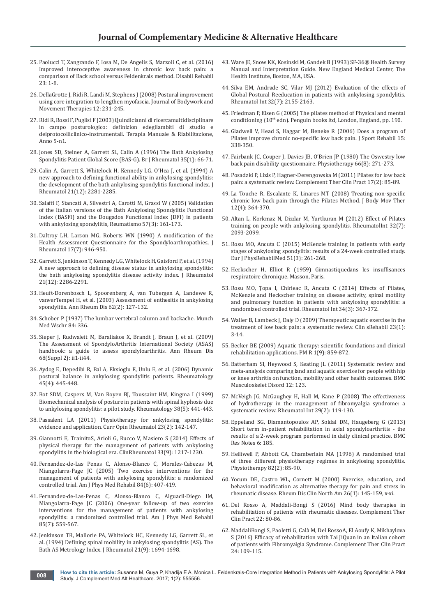- 25. [Paolucci T, Zangrando F, Iosa M, De Angelis S, Marzoli C, et al. \(2016\)](https://www.ncbi.nlm.nih.gov/pubmed/27215948)  [Improved interoceptive awareness in chronic low back pain: a](https://www.ncbi.nlm.nih.gov/pubmed/27215948)  [comparison of Back school versus Feldenkrais method. Disabil Rehabil](https://www.ncbi.nlm.nih.gov/pubmed/27215948)  [23: 1-8.](https://www.ncbi.nlm.nih.gov/pubmed/27215948)
- 26. [DellaGrotte J, Ridi R, Landi M, Stephens J \(2008\) Postural improvement](https://www.ncbi.nlm.nih.gov/pubmed/19083679)  [using core integration to lengthen myofascia. Journal of Bodywork and](https://www.ncbi.nlm.nih.gov/pubmed/19083679)  [Movement Therapies 12: 231-245.](https://www.ncbi.nlm.nih.gov/pubmed/19083679)
- 27. Ridi R, Rossi F, Puglisi F (2003) Quindicianni di ricercamultidisciplinare in campo posturologico: definizion edegliambiti di studio e deiprotocolliclinico-instrumentali. Terapia Manuale & Riabilitazione, Anno 5-n1.
- 28. [Jones SD, Steiner A, Garrett SL, Calin A \(1996\) The Bath Ankylosing](https://www.ncbi.nlm.nih.gov/pubmed/8624626)  [Spondylitis Patient Global Score \(BAS-G\). Br J Rheumatol 35\(1\): 66-71.](https://www.ncbi.nlm.nih.gov/pubmed/8624626)
- 29. [Calin A, Garrett S, Whitelock H, Kennedy LG, O'Hea J, et al. \(1994\) A](https://www.ncbi.nlm.nih.gov/pubmed/7699629)  [new approach to defining functional ability in ankylosing spondylitis:](https://www.ncbi.nlm.nih.gov/pubmed/7699629)  [the development of the bath ankylosing spondylitis functional index. J](https://www.ncbi.nlm.nih.gov/pubmed/7699629)  [Rheumatol 21\(12\): 2281-2285.](https://www.ncbi.nlm.nih.gov/pubmed/7699629)
- 30. [Salaffi F, Stancati A, Silvestri A, Carotti M, Grassi W \(2005\) Validation](https://www.ncbi.nlm.nih.gov/pubmed/16258600)  [of the Italian versions of the Bath Ankylosing Spondylitis Functional](https://www.ncbi.nlm.nih.gov/pubmed/16258600)  [Index \(BASFI\) and the Dougados Functional Index \(DFI\) in patients](https://www.ncbi.nlm.nih.gov/pubmed/16258600)  [with ankylosing spondylitis, Reumatismo 57\(3\): 161-173.](https://www.ncbi.nlm.nih.gov/pubmed/16258600)
- 31. [Daltroy LH, Larson MG, Roberts WN \(1990\) A modification of the](https://www.ncbi.nlm.nih.gov/pubmed/2213762)  [Health Assessment Questionnaire for the Spondyloarthropathies, J](https://www.ncbi.nlm.nih.gov/pubmed/2213762)  [Rheumatol 17\(7\): 946-950.](https://www.ncbi.nlm.nih.gov/pubmed/2213762)
- 32. [Garrett S, Jenkinson T, Kennedy LG, Whitelock H, Gaisford P, et al. \(1994\)](https://www.ncbi.nlm.nih.gov/pubmed/7699630)  [A new approach to defining disease status in ankylosing spondylitis:](https://www.ncbi.nlm.nih.gov/pubmed/7699630)  [the bath ankylosing spondylitis disease activity index. J Rheumatol](https://www.ncbi.nlm.nih.gov/pubmed/7699630)  [21\(12\): 2286-2291.](https://www.ncbi.nlm.nih.gov/pubmed/7699630)
- 33. [Heuft-Dorenbosch L, Spoorenberg A, van Tubergen A, Landewe R,](https://www.ncbi.nlm.nih.gov/pubmed/12525381/)  [vanverTempel H, et al. \(2003\) Assessment of enthesitis in ankylosing](https://www.ncbi.nlm.nih.gov/pubmed/12525381/)  [spondylitis. Ann Rheum Dis 62\(2\): 127-132.](https://www.ncbi.nlm.nih.gov/pubmed/12525381/)
- 34. Schober P (1937) The lumbar vertebral column and backache. Munch Med Wschr 84: 336.
- 35. [Sieper J, Rudwaleit M, Baraliakos X, Brandt J, Braun J, et al. \(2009\)](https://www.ncbi.nlm.nih.gov/pubmed/19433414)  [The Assessment of SpondyloArthritis International Society \(ASAS\)](https://www.ncbi.nlm.nih.gov/pubmed/19433414)  [handbook: a guide to assess spondyloarthritis. Ann Rheum Dis](https://www.ncbi.nlm.nih.gov/pubmed/19433414)  [68\(Suppl 2\): ii1-ii44.](https://www.ncbi.nlm.nih.gov/pubmed/19433414)
- 36. [Aydog E, Depedibi R, Bal A, Eksioglu E, Unlu E, et al. \(2006\) Dynamic](https://www.ncbi.nlm.nih.gov/pubmed/16278280)  [postural balance in ankylosing spondylitis patients. Rheumatology](https://www.ncbi.nlm.nih.gov/pubmed/16278280)  [45\(4\): 445-448.](https://www.ncbi.nlm.nih.gov/pubmed/16278280)
- 37. [Bot SDM, Caspers M, Van Royen BJ, Toussaint HM, Kingma I \(1999\)](https://www.ncbi.nlm.nih.gov/pubmed/10371282)  [Biomechanical analysis of posture in patients with spinal kyphosis due](https://www.ncbi.nlm.nih.gov/pubmed/10371282)  [to ankylosing spondylitis: a pilot study. Rheumatology 38\(5\): 441-443.](https://www.ncbi.nlm.nih.gov/pubmed/10371282)
- 38. [Passalent LA \(2011\) Physiotherapy for ankylosing spondylitis:](https://www.ncbi.nlm.nih.gov/pubmed/21150624)  [evidence and application. Curr Opin Rheumatol 23\(2\): 142-147.](https://www.ncbi.nlm.nih.gov/pubmed/21150624)
- 39. [Giannotti E, TrainitoS, Arioli G, Rucco V, Masiero S \(2014\) Effects of](https://www.ncbi.nlm.nih.gov/pubmed/24797772)  [physical therapy for the management of patients with ankylosing](https://www.ncbi.nlm.nih.gov/pubmed/24797772)  [spondylitis in the biological era. ClinRheumatol 33\(9\): 1217-1230.](https://www.ncbi.nlm.nih.gov/pubmed/24797772)
- 40. [Fernandez-de-Las Penas C, Alonso-Blanco C, Morales-Cabezas M,](https://www.ncbi.nlm.nih.gov/pubmed/15905654)  [Miangolarra-Page JC \(2005\) Two exercise interventions for the](https://www.ncbi.nlm.nih.gov/pubmed/15905654)  [management of patients with ankylosing spondylitis: a randomized](https://www.ncbi.nlm.nih.gov/pubmed/15905654)  [controlled trial. Am J Phys Med Rehabil 84\(6\): 407-419.](https://www.ncbi.nlm.nih.gov/pubmed/15905654)
- 41. [Fernandez-de-Las-Penas C, Alonso-Blanco C, Alguacil-Diego IM,](https://www.ncbi.nlm.nih.gov/pubmed/16788386)  [Miangolarra-Page JC \(2006\) One-year follow-up of two exercise](https://www.ncbi.nlm.nih.gov/pubmed/16788386)  [interventions for the management of patients with ankylosing](https://www.ncbi.nlm.nih.gov/pubmed/16788386)  [spondylitis: a randomized controlled trial. Am J Phys Med Rehabil](https://www.ncbi.nlm.nih.gov/pubmed/16788386)  [85\(7\): 559-567.](https://www.ncbi.nlm.nih.gov/pubmed/16788386)
- 42. [Jenkinson TR, Mallorie PA, Whitelock HC, Kennedy LG, Garrett SL, et](https://www.ncbi.nlm.nih.gov/pubmed/7799351)  [al. \(1994\) Defining spinal mobility in ankylosing spondylitis \(AS\). The](https://www.ncbi.nlm.nih.gov/pubmed/7799351)  [Bath AS Metrology Index. J Rheumatol 21\(9\): 1694-1698.](https://www.ncbi.nlm.nih.gov/pubmed/7799351)
- 43. Ware JE, Snow KK, Kosinski M, Gandek B (1993) SF-36® Health Survey Manual and Interpretation Guide. New England Medical Center, The Health Institute, Boston, MA, USA.
- 44. [Silva EM, Andrade SC, Vilar MJ \(2012\) Evaluation of the effects of](https://www.ncbi.nlm.nih.gov/pubmed/21544639)  [Global Postural Reeducation in patients with ankylosing spondylitis.](https://www.ncbi.nlm.nih.gov/pubmed/21544639)  [Rheumatol Int 32\(7\): 2155-2163.](https://www.ncbi.nlm.nih.gov/pubmed/21544639)
- 45. [Friedman P, Eisen G \(2005\) The pilates method of Physical and mental](https://books.google.co.in/books/about/The_Pilates_Method_of_Physical_and_Menta.html?id=a7YIAAAACAAJ)  conditioning (10<sup>th</sup> edn). Penguin books ltd, London, England, pp. 190.
- 46. [Gladwell V, Head S, Haggar M, Beneke R \(2006\) Does a program of](http://www.humankinetics.com/acucustom/sitename/Documents/DocumentItem/6181.pdf)  [Pilates improve chronic no-specific low back pain. J Sport Rehabil 15:](http://www.humankinetics.com/acucustom/sitename/Documents/DocumentItem/6181.pdf)  [338-350.](http://www.humankinetics.com/acucustom/sitename/Documents/DocumentItem/6181.pdf)
- 47. Fairbank JC, Couper J, Davies JB, O'Brien JP (1980) The Oswestry low [back pain disability questionnaire. Physiotherapy 66\(8\): 271-273.](https://www.ncbi.nlm.nih.gov/pubmed/6450426)
- 48. [Posadzki P, Lizis P, Hagner-Derengowska M \(2011\) Pilates for low back](https://www.ncbi.nlm.nih.gov/pubmed/21457897)  [pain: a systematic review. Complement Ther Clin Pract 17\(2\): 85-89.](https://www.ncbi.nlm.nih.gov/pubmed/21457897)
- 49. [La Touche R, Escalante K, Linares MT \(2008\) Treating non-specific](https://www.ncbi.nlm.nih.gov/pubmed/19083695)  [chronic low back pain through the Pilates Method. J Body Mov Ther](https://www.ncbi.nlm.nih.gov/pubmed/19083695)  [12\(4\): 364-370.](https://www.ncbi.nlm.nih.gov/pubmed/19083695)
- 50. [Altan L, Korkmaz N, Dizdar M, Yurtkuran M \(2012\) Effect of Pilates](https://www.ncbi.nlm.nih.gov/pubmed/21499876)  [training on people with ankylosing spondylitis. RheumatolInt 32\(7\):](https://www.ncbi.nlm.nih.gov/pubmed/21499876)  [2093-2099.](https://www.ncbi.nlm.nih.gov/pubmed/21499876)
- 51. [Rosu MO, Ancuta C \(2015\) McKenzie training in patients with early](https://www.ncbi.nlm.nih.gov/pubmed/25358635)  [stages of ankylosing spondylitis: results of a 24-week controlled study.](https://www.ncbi.nlm.nih.gov/pubmed/25358635)  [Eur J PhysRehabilMed 51\(3\): 261-268.](https://www.ncbi.nlm.nih.gov/pubmed/25358635)
- 52. Heckscher H, Elliot R (1959) Gimnastiquedans les insuffisances respiratoire chronique. Masson, Paris.
- 53. [Rosu MO, Ţopa I, Chirieac R, Ancuta C \(2014\) Effects of Pilates,](https://www.ncbi.nlm.nih.gov/pubmed/24071935)  [McKenzie and Heckscher training on disease activity, spinal motility](https://www.ncbi.nlm.nih.gov/pubmed/24071935)  [and pulmonary function in patients with ankylosing spondylitis: a](https://www.ncbi.nlm.nih.gov/pubmed/24071935)  [randomized controlled trial. Rheumatol Int 34\(3\): 367-372.](https://www.ncbi.nlm.nih.gov/pubmed/24071935)
- 54. [Waller B, Lambeck J, Daly D \(2009\) Therapeutic aquatic exercise in the](https://www.ncbi.nlm.nih.gov/pubmed/19114433)  [treatment of low back pain: a systematic review. Clin sRehabil 23\(1\):](https://www.ncbi.nlm.nih.gov/pubmed/19114433)  [3-14.](https://www.ncbi.nlm.nih.gov/pubmed/19114433)
- 55. [Becker BE \(2009\) Aquatic therapy: scientific foundations and clinical](https://www.ncbi.nlm.nih.gov/pubmed/19769921)  [rehabilitation applications. PM R 1\(9\): 859-872.](https://www.ncbi.nlm.nih.gov/pubmed/19769921)
- 56. [Batterham SI, Heywood S, Keating JL \(2011\) Systematic review and](http://bmcmusculoskeletdisord.biomedcentral.com/articles/10.1186/1471-2474-12-123)  [meta-analysis comparing land and aquatic exercise for people with hip](http://bmcmusculoskeletdisord.biomedcentral.com/articles/10.1186/1471-2474-12-123)  [or knee arthritis on function, mobility and other health outcomes. BMC](http://bmcmusculoskeletdisord.biomedcentral.com/articles/10.1186/1471-2474-12-123)  [Musculoskelet Disord 12: 123.](http://bmcmusculoskeletdisord.biomedcentral.com/articles/10.1186/1471-2474-12-123)
- 57. [McVeigh JG, McGaughey H, Hall M, Kane P \(2008\) The effectiveness](https://www.ncbi.nlm.nih.gov/pubmed/18751709)  [of hydrotherapy in the management of fibromyalgia syndrome: a](https://www.ncbi.nlm.nih.gov/pubmed/18751709)  [systematic review. Rheumatol Int 29\(2\): 119-130.](https://www.ncbi.nlm.nih.gov/pubmed/18751709)
- 58. [Eppeland SG, Diamantopoulos AP, Soldal DM, Haugeberg G \(2013\)](http://bmcresnotes.biomedcentral.com/articles/10.1186/1756-0500-6-185)  [Short term in-patient rehabilitation in axial spondyloarthritis - the](http://bmcresnotes.biomedcentral.com/articles/10.1186/1756-0500-6-185)  [results of a 2-week program performed in daily clinical practice. BMC](http://bmcresnotes.biomedcentral.com/articles/10.1186/1756-0500-6-185)  [Res Notes 6: 185.](http://bmcresnotes.biomedcentral.com/articles/10.1186/1756-0500-6-185)
- 59. [Helliwell P, Abbott CA, Chamberlain MA \(1996\) A randomised trial](http://www.physiotherapyjournal.com/article/S0031-9406(05)66956-8/abstract)  [of three different physiotherapy regimes in ankylosing spondylitis.](http://www.physiotherapyjournal.com/article/S0031-9406(05)66956-8/abstract)  [Physiotherapy 82\(2\): 85-90.](http://www.physiotherapyjournal.com/article/S0031-9406(05)66956-8/abstract)
- 60. [Yocum DE, Castro WL, Cornett M \(2000\) Exercise, education, and](https://www.ncbi.nlm.nih.gov/pubmed/10680202)  [behavioral modification as alternative therapy for pain and stress in](https://www.ncbi.nlm.nih.gov/pubmed/10680202)  [rheumatic disease. Rheum Dis Clin North Am 26\(1\): 145-159, x-xi.](https://www.ncbi.nlm.nih.gov/pubmed/10680202)
- 61. [Del Rosso A, Maddali-Bongi S \(2016\) Mind body therapies in](http://www.sciencedirect.com/science/article/pii/S1744388115300232)  [rehabilitation of patients with rheumatic diseases. Complement Ther](http://www.sciencedirect.com/science/article/pii/S1744388115300232)  [Clin Pract 22: 80-86.](http://www.sciencedirect.com/science/article/pii/S1744388115300232)
- 62. [MaddaliBongi S, Paoletti G, Calà M, Del RossoA, El Aoufy K, Mikhaylova](https://www.ncbi.nlm.nih.gov/pubmed/27502810)  [S \(2016\) Efficacy of rehabilitation with Tai JiQuan in an Italian cohort](https://www.ncbi.nlm.nih.gov/pubmed/27502810)  [of patients with Fibromyalgia Syndrome. Complement Ther Clin Pract](https://www.ncbi.nlm.nih.gov/pubmed/27502810)  [24: 109-115.](https://www.ncbi.nlm.nih.gov/pubmed/27502810)